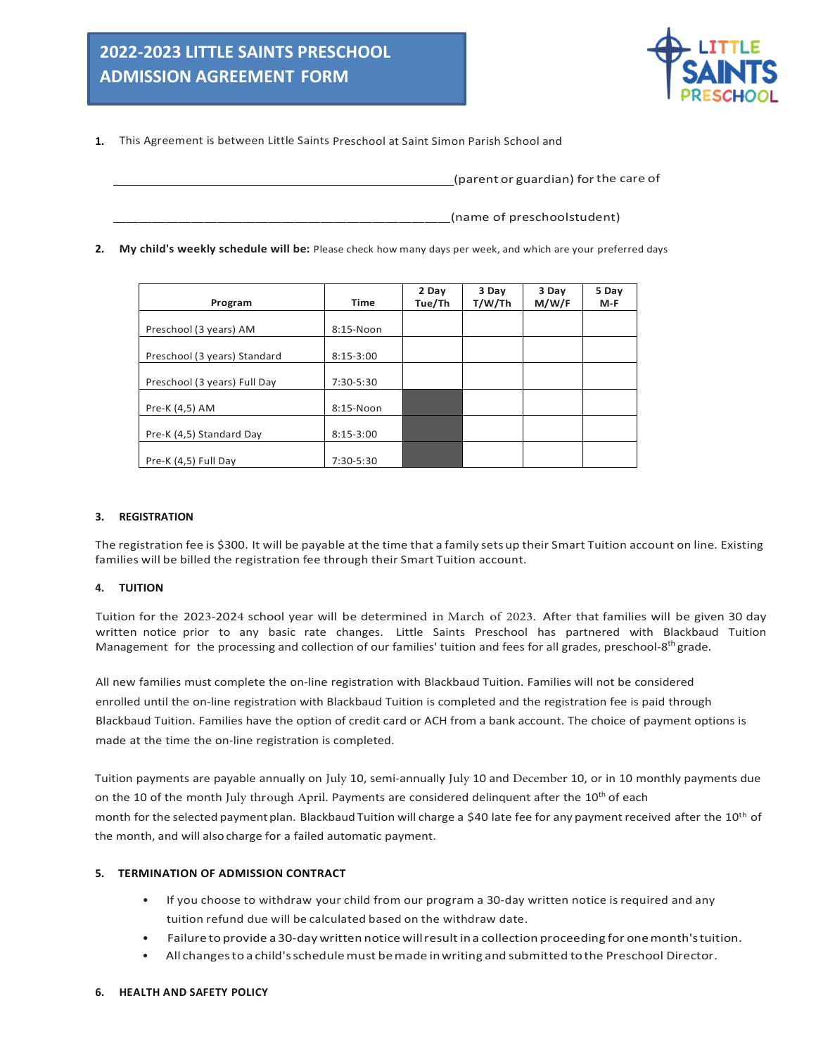

**1.** This Agreement is between Little Saints Preschool at Saint Simon Parish School and

(parent or guardian) for the care of

(name of preschoolstudent)

**2. My child's weekly schedule will be:** Please check how many days per week, and which are your preferred days

| Program                      | <b>Time</b> | 2 Day<br>Tue/Th | 3 Day<br>T/W/Th | 3 Day<br>M/W/F | 5 Day<br>$M-F$ |
|------------------------------|-------------|-----------------|-----------------|----------------|----------------|
|                              |             |                 |                 |                |                |
| Preschool (3 years) AM       | 8:15-Noon   |                 |                 |                |                |
| Preschool (3 years) Standard | $8:15-3:00$ |                 |                 |                |                |
| Preschool (3 years) Full Day | 7:30-5:30   |                 |                 |                |                |
| Pre-K (4,5) AM               | 8:15-Noon   |                 |                 |                |                |
| Pre-K (4,5) Standard Day     | $8:15-3:00$ |                 |                 |                |                |
| Pre-K (4,5) Full Day         | 7:30-5:30   |                 |                 |                |                |

### **3. REGISTRATION**

The registration fee is \$300. It will be payable at the time that a family sets up their Smart Tuition account on line. Existing families will be billed the registration fee through their Smart Tuition account.

### **4. TUITION**

Tuition for the 2023-2024 school year will be determined in March of 2023. After that families will be given 30 day written notice prior to any basic rate changes. Little Saints Preschool has partnered with Blackbaud Tuition Management for the processing and collection of our families' tuition and fees for all grades, preschool-8<sup>th</sup> grade.

All new families must complete the on-line registration with Blackbaud Tuition. Families will not be considered enrolled until the on-line registration with Blackbaud Tuition is completed and the registration fee is paid through Blackbaud Tuition. Families have the option of credit card or ACH from a bank account. The choice of payment options is made at the time the on-line registration is completed.

Tuition payments are payable annually on July 10, semi-annually July 10 and December 10, or in 10 monthly payments due on the 10 of the month July through April. Payments are considered delinquent after the 10<sup>th</sup> of each month for the selected payment plan. Blackbaud Tuition will charge a \$40 late fee for any payment received after the 10<sup>th</sup> of the month, and will also charge for a failed automatic payment.

# **5. TERMINATION OF ADMISSION CONTRACT**

- If you choose to withdraw your child from our program a 30-day written notice isrequired and any tuition refund due will be calculated based on the withdraw date.
- Failure to provide a30-day written notice willresult ina collection proceeding for onemonth'stuition.
- All changesto a child'sschedulemust bemade inwriting and submitted tothe Preschool Director.